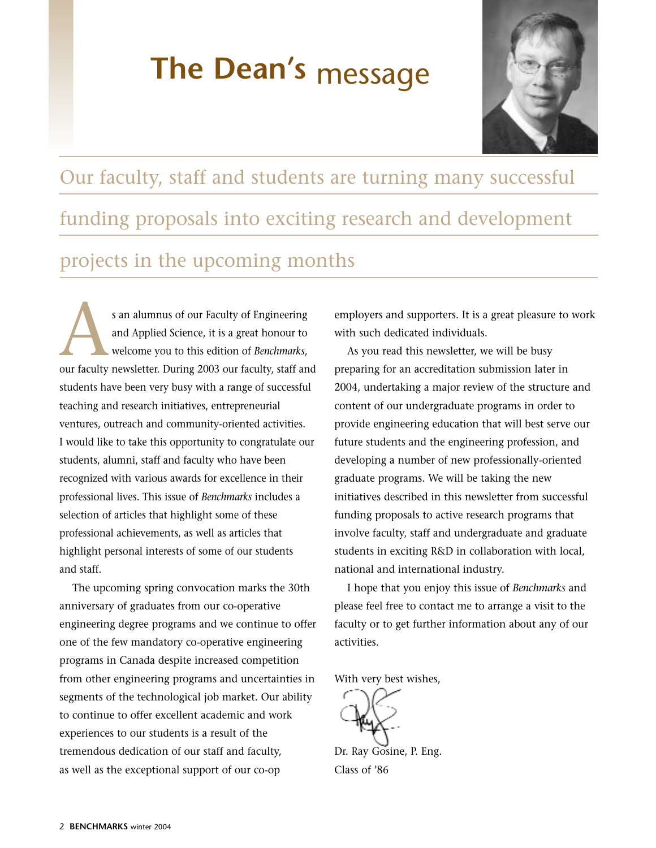# **The Dean's** message



# Our faculty, staff and students are turning many successful funding proposals into exciting research and development projects in the upcoming months

s an alumnus of our Faculty of Engineering and Applied Science, it is a great honour to welcome you to this edition of *Benchmarks*, s an alumnus of our Faculty of Engineering<br>and Applied Science, it is a great honour to<br>welcome you to this edition of *Benchmarks*,<br>our faculty newsletter. During 2003 our faculty, staff and students have been very busy with a range of successful teaching and research initiatives, entrepreneurial ventures, outreach and community-oriented activities. I would like to take this opportunity to congratulate our students, alumni, staff and faculty who have been recognized with various awards for excellence in their professional lives. This issue of *Benchmarks* includes a selection of articles that highlight some of these professional achievements, as well as articles that highlight personal interests of some of our students and staff.

The upcoming spring convocation marks the 30th anniversary of graduates from our co-operative engineering degree programs and we continue to offer one of the few mandatory co-operative engineering programs in Canada despite increased competition from other engineering programs and uncertainties in segments of the technological job market. Our ability to continue to offer excellent academic and work experiences to our students is a result of the tremendous dedication of our staff and faculty, as well as the exceptional support of our co-op

employers and supporters. It is a great pleasure to work with such dedicated individuals.

As you read this newsletter, we will be busy preparing for an accreditation submission later in 2004, undertaking a major review of the structure and content of our undergraduate programs in order to provide engineering education that will best serve our future students and the engineering profession, and developing a number of new professionally-oriented graduate programs. We will be taking the new initiatives described in this newsletter from successful funding proposals to active research programs that involve faculty, staff and undergraduate and graduate students in exciting R&D in collaboration with local, national and international industry.

I hope that you enjoy this issue of *Benchmarks* and please feel free to contact me to arrange a visit to the faculty or to get further information about any of our activities.

With very best wishes,

Dr. Ray Gosine, P. Eng. Class of '86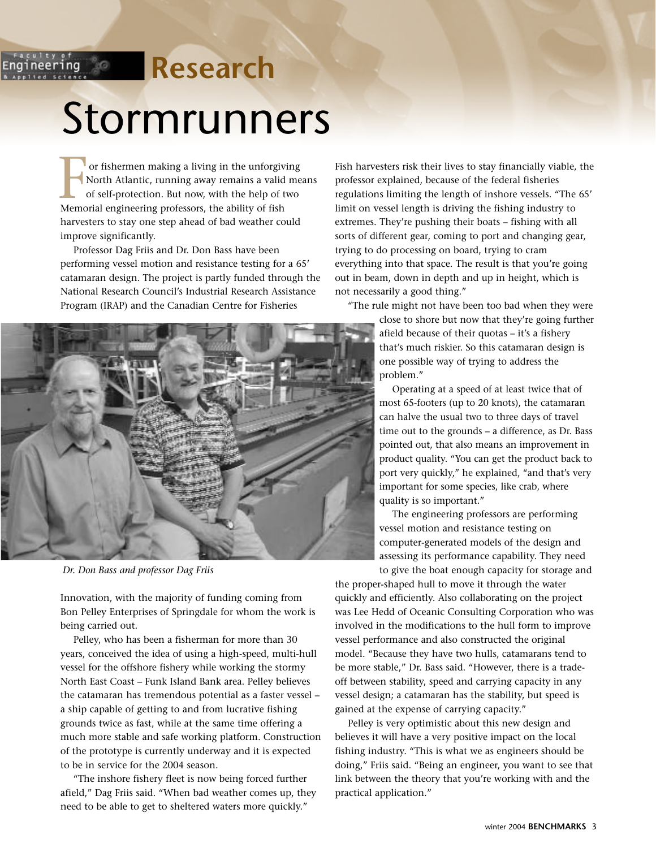## <sup>faculty of</sup>

## **Research**

# Stormrunners

or fishermen making a living in the unforgiving North Atlantic, running away remains a valid means of self-protection. But now, with the help of two or fishermen making a living in the unforgived North Atlantic, running away remains a valid of self-protection. But now, with the help of the Memorial engineering professors, the ability of fish harvesters to stay one step ahead of bad weather could improve significantly.

Professor Dag Friis and Dr. Don Bass have been performing vessel motion and resistance testing for a 65' catamaran design. The project is partly funded through the National Research Council's Industrial Research Assistance Program (IRAP) and the Canadian Centre for Fisheries



*Dr. Don Bass and professor Dag Friis*

Innovation, with the majority of funding coming from Bon Pelley Enterprises of Springdale for whom the work is being carried out.

Pelley, who has been a fisherman for more than 30 years, conceived the idea of using a high-speed, multi-hull vessel for the offshore fishery while working the stormy North East Coast – Funk Island Bank area. Pelley believes the catamaran has tremendous potential as a faster vessel – a ship capable of getting to and from lucrative fishing grounds twice as fast, while at the same time offering a much more stable and safe working platform. Construction of the prototype is currently underway and it is expected to be in service for the 2004 season.

"The inshore fishery fleet is now being forced further afield," Dag Friis said. "When bad weather comes up, they need to be able to get to sheltered waters more quickly."

Fish harvesters risk their lives to stay financially viable, the professor explained, because of the federal fisheries regulations limiting the length of inshore vessels. "The 65' limit on vessel length is driving the fishing industry to extremes. They're pushing their boats – fishing with all sorts of different gear, coming to port and changing gear, trying to do processing on board, trying to cram everything into that space. The result is that you're going out in beam, down in depth and up in height, which is not necessarily a good thing."

"The rule might not have been too bad when they were close to shore but now that they're going further afield because of their quotas – it's a fishery that's much riskier. So this catamaran design is one possible way of trying to address the problem."

> Operating at a speed of at least twice that of most 65-footers (up to 20 knots), the catamaran can halve the usual two to three days of travel time out to the grounds – a difference, as Dr. Bass pointed out, that also means an improvement in product quality. "You can get the product back to port very quickly," he explained, "and that's very important for some species, like crab, where quality is so important."

The engineering professors are performing vessel motion and resistance testing on computer-generated models of the design and assessing its performance capability. They need

to give the boat enough capacity for storage and the proper-shaped hull to move it through the water quickly and efficiently. Also collaborating on the project was Lee Hedd of Oceanic Consulting Corporation who was involved in the modifications to the hull form to improve vessel performance and also constructed the original model. "Because they have two hulls, catamarans tend to be more stable," Dr. Bass said. "However, there is a tradeoff between stability, speed and carrying capacity in any vessel design; a catamaran has the stability, but speed is gained at the expense of carrying capacity."

Pelley is very optimistic about this new design and believes it will have a very positive impact on the local fishing industry. "This is what we as engineers should be doing," Friis said. "Being an engineer, you want to see that link between the theory that you're working with and the practical application."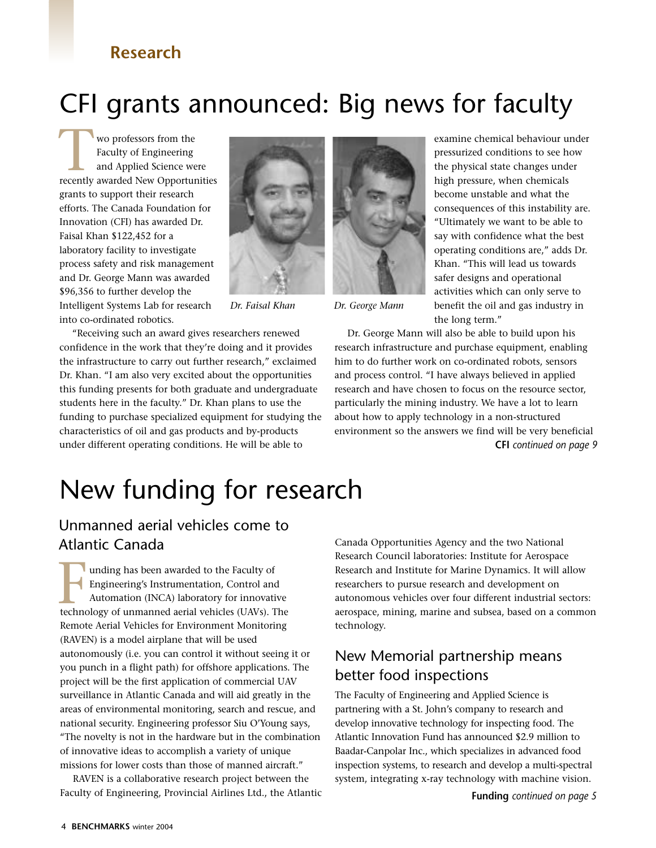### **Research**

## CFI grants announced: Big news for faculty

wo professors from the Faculty of Engineering and Applied Science were wo professors from the<br>Faculty of Engineering<br>and Applied Science were<br>recently awarded New Opportunities grants to support their research efforts. The Canada Foundation for Innovation (CFI) has awarded Dr. Faisal Khan \$122,452 for a laboratory facility to investigate process safety and risk management and Dr. George Mann was awarded \$96,356 to further develop the Intelligent Systems Lab for research into co-ordinated robotics.



"Receiving such an award gives researchers renewed confidence in the work that they're doing and it provides the infrastructure to carry out further research," exclaimed Dr. Khan. "I am also very excited about the opportunities this funding presents for both graduate and undergraduate students here in the faculty." Dr. Khan plans to use the funding to purchase specialized equipment for studying the characteristics of oil and gas products and by-products under different operating conditions. He will be able to



*Dr. Faisal Khan Dr. George Mann*

examine chemical behaviour under pressurized conditions to see how the physical state changes under high pressure, when chemicals become unstable and what the consequences of this instability are. "Ultimately we want to be able to say with confidence what the best operating conditions are," adds Dr. Khan. "This will lead us towards safer designs and operational activities which can only serve to benefit the oil and gas industry in the long term."

Dr. George Mann will also be able to build upon his research infrastructure and purchase equipment, enabling him to do further work on co-ordinated robots, sensors and process control. "I have always believed in applied research and have chosen to focus on the resource sector, particularly the mining industry. We have a lot to learn about how to apply technology in a non-structured environment so the answers we find will be very beneficial **CFI** *continued on page 9*

# New funding for research

#### Unmanned aerial vehicles come to Atlantic Canada

unding has been awarded to the Faculty of Engineering's Instrumentation, Control and Automation (INCA) laboratory for innovative unding has been awarded to the Faculty of<br>
Engineering's Instrumentation, Control and<br>
Automation (INCA) laboratory for innovative<br>
technology of unmanned aerial vehicles (UAVs). The Remote Aerial Vehicles for Environment Monitoring (RAVEN) is a model airplane that will be used autonomously (i.e. you can control it without seeing it or you punch in a flight path) for offshore applications. The project will be the first application of commercial UAV surveillance in Atlantic Canada and will aid greatly in the areas of environmental monitoring, search and rescue, and national security. Engineering professor Siu O'Young says, "The novelty is not in the hardware but in the combination of innovative ideas to accomplish a variety of unique missions for lower costs than those of manned aircraft."

RAVEN is a collaborative research project between the Faculty of Engineering, Provincial Airlines Ltd., the Atlantic Canada Opportunities Agency and the two National Research Council laboratories: Institute for Aerospace Research and Institute for Marine Dynamics. It will allow researchers to pursue research and development on autonomous vehicles over four different industrial sectors: aerospace, mining, marine and subsea, based on a common technology.

#### New Memorial partnership means better food inspections

The Faculty of Engineering and Applied Science is partnering with a St. John's company to research and develop innovative technology for inspecting food. The Atlantic Innovation Fund has announced \$2.9 million to Baadar-Canpolar Inc., which specializes in advanced food inspection systems, to research and develop a multi-spectral system, integrating x-ray technology with machine vision.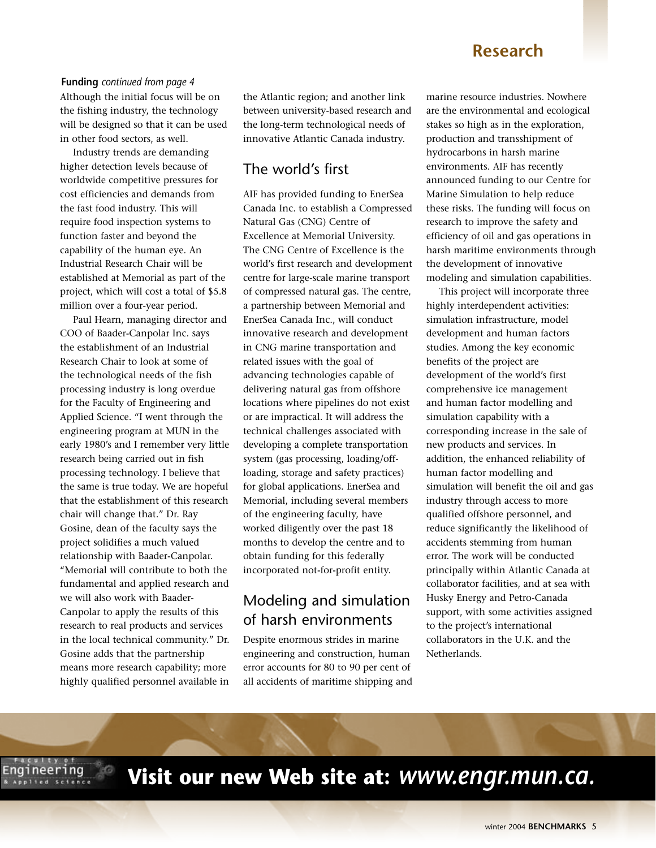#### **Research**

#### Although the initial focus will be on the fishing industry, the technology will be designed so that it can be used in other food sectors, as well. **Funding** *continued from page 4*

Industry trends are demanding higher detection levels because of worldwide competitive pressures for cost efficiencies and demands from the fast food industry. This will require food inspection systems to function faster and beyond the capability of the human eye. An Industrial Research Chair will be established at Memorial as part of the project, which will cost a total of \$5.8 million over a four-year period.

Paul Hearn, managing director and COO of Baader-Canpolar Inc. says the establishment of an Industrial Research Chair to look at some of the technological needs of the fish processing industry is long overdue for the Faculty of Engineering and Applied Science. "I went through the engineering program at MUN in the early 1980's and I remember very little research being carried out in fish processing technology. I believe that the same is true today. We are hopeful that the establishment of this research chair will change that." Dr. Ray Gosine, dean of the faculty says the project solidifies a much valued relationship with Baader-Canpolar. "Memorial will contribute to both the fundamental and applied research and we will also work with Baader-Canpolar to apply the results of this research to real products and services in the local technical community." Dr. Gosine adds that the partnership means more research capability; more highly qualified personnel available in

the Atlantic region; and another link between university-based research and the long-term technological needs of innovative Atlantic Canada industry.

#### The world's first

AIF has provided funding to EnerSea Canada Inc. to establish a Compressed Natural Gas (CNG) Centre of Excellence at Memorial University. The CNG Centre of Excellence is the world's first research and development centre for large-scale marine transport of compressed natural gas. The centre, a partnership between Memorial and EnerSea Canada Inc., will conduct innovative research and development in CNG marine transportation and related issues with the goal of advancing technologies capable of delivering natural gas from offshore locations where pipelines do not exist or are impractical. It will address the technical challenges associated with developing a complete transportation system (gas processing, loading/offloading, storage and safety practices) for global applications. EnerSea and Memorial, including several members of the engineering faculty, have worked diligently over the past 18 months to develop the centre and to obtain funding for this federally incorporated not-for-profit entity.

#### Modeling and simulation of harsh environments

Despite enormous strides in marine engineering and construction, human error accounts for 80 to 90 per cent of all accidents of maritime shipping and marine resource industries. Nowhere are the environmental and ecological stakes so high as in the exploration, production and transshipment of hydrocarbons in harsh marine environments. AIF has recently announced funding to our Centre for Marine Simulation to help reduce these risks. The funding will focus on research to improve the safety and efficiency of oil and gas operations in harsh maritime environments through the development of innovative modeling and simulation capabilities.

This project will incorporate three highly interdependent activities: simulation infrastructure, model development and human factors studies. Among the key economic benefits of the project are development of the world's first comprehensive ice management and human factor modelling and simulation capability with a corresponding increase in the sale of new products and services. In addition, the enhanced reliability of human factor modelling and simulation will benefit the oil and gas industry through access to more qualified offshore personnel, and reduce significantly the likelihood of accidents stemming from human error. The work will be conducted principally within Atlantic Canada at collaborator facilities, and at sea with Husky Energy and Petro-Canada support, with some activities assigned to the project's international collaborators in the U.K. and the Netherlands.

**Visit our new Web site at:** *www.engr.mun.ca.*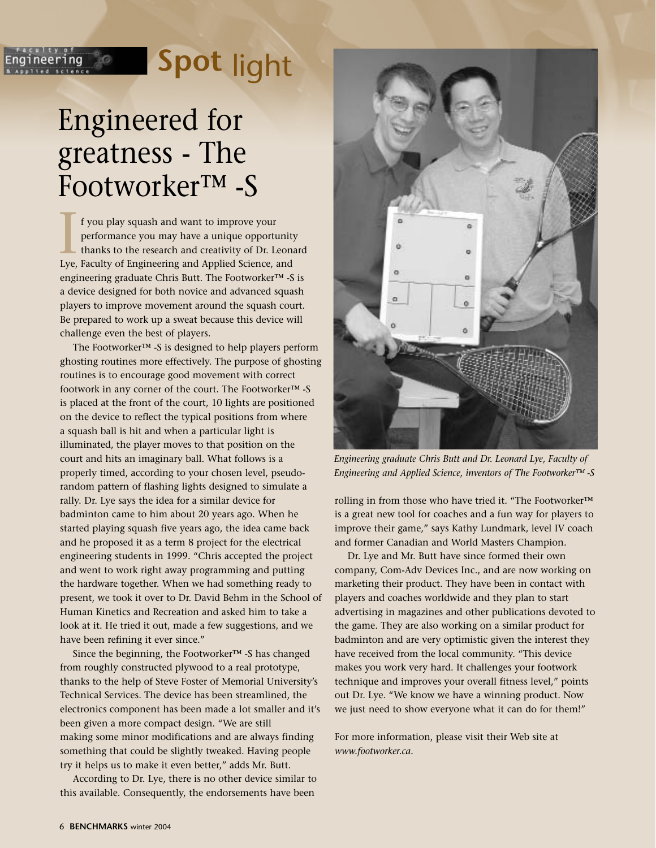# **Spot** light

# Engineered for greatness - The Footworker™ -S

್ಯೆಂ

neering

f you play squash and want to improve your performance you may have a unique opportunity thanks to the research and creativity of Dr. Leonard If you play squash and want to improve your<br>performance you may have a unique opportunit<br>thanks to the research and creativity of Dr. Leon<br>Lye, Faculty of Engineering and Applied Science, and engineering graduate Chris Butt. The Footworker™ -S is a device designed for both novice and advanced squash players to improve movement around the squash court. Be prepared to work up a sweat because this device will challenge even the best of players.

The Footworker™ -S is designed to help players perform ghosting routines more effectively. The purpose of ghosting routines is to encourage good movement with correct footwork in any corner of the court. The Footworker™ -S is placed at the front of the court, 10 lights are positioned on the device to reflect the typical positions from where a squash ball is hit and when a particular light is illuminated, the player moves to that position on the court and hits an imaginary ball. What follows is a properly timed, according to your chosen level, pseudorandom pattern of flashing lights designed to simulate a rally. Dr. Lye says the idea for a similar device for badminton came to him about 20 years ago. When he started playing squash five years ago, the idea came back and he proposed it as a term 8 project for the electrical engineering students in 1999. "Chris accepted the project and went to work right away programming and putting the hardware together. When we had something ready to present, we took it over to Dr. David Behm in the School of Human Kinetics and Recreation and asked him to take a look at it. He tried it out, made a few suggestions, and we have been refining it ever since."

Since the beginning, the Footworker™ -S has changed from roughly constructed plywood to a real prototype, thanks to the help of Steve Foster of Memorial University's Technical Services. The device has been streamlined, the electronics component has been made a lot smaller and it's been given a more compact design. "We are still making some minor modifications and are always finding something that could be slightly tweaked. Having people try it helps us to make it even better," adds Mr. Butt.

According to Dr. Lye, there is no other device similar to this available. Consequently, the endorsements have been



*Engineering graduate Chris Butt and Dr. Leonard Lye, Faculty of Engineering and Applied Science, inventors of The Footworker™ -S*

rolling in from those who have tried it. "The Footworker™ is a great new tool for coaches and a fun way for players to improve their game," says Kathy Lundmark, level IV coach and former Canadian and World Masters Champion.

Dr. Lye and Mr. Butt have since formed their own company, Com-Adv Devices Inc., and are now working on marketing their product. They have been in contact with players and coaches worldwide and they plan to start advertising in magazines and other publications devoted to the game. They are also working on a similar product for badminton and are very optimistic given the interest they have received from the local community. "This device makes you work very hard. It challenges your footwork technique and improves your overall fitness level," points out Dr. Lye. "We know we have a winning product. Now we just need to show everyone what it can do for them!"

For more information, please visit their Web site at *www.footworker.ca.*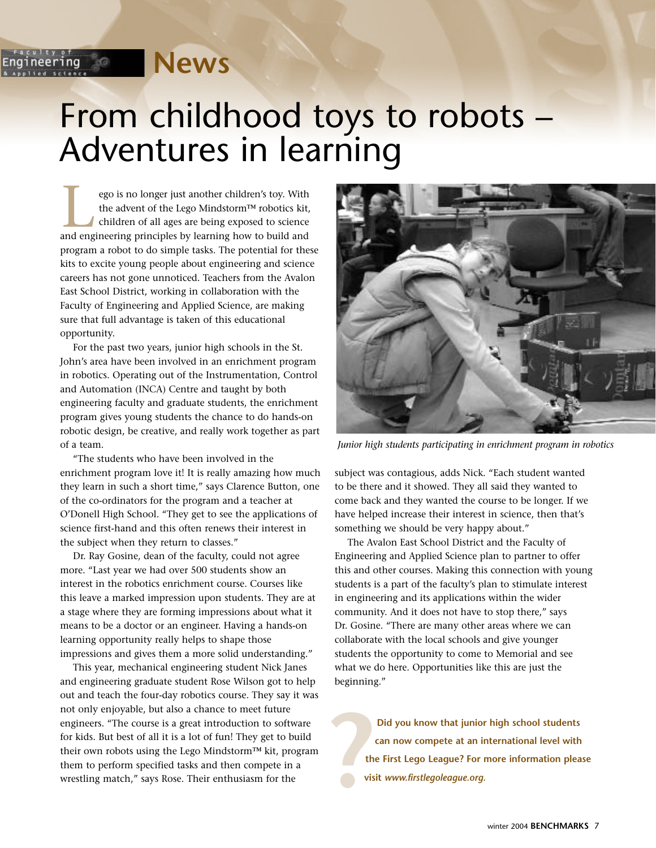్తిత

neerina

# From childhood toys to robots – Adventures in learning

ego is no longer just another children's toy. With the advent of the Lego Mindstorm™ robotics kit, children of all ages are being exposed to science ego is no longer just another children's toy. With<br>the advent of the Lego Mindstorm<sup>TM</sup> robotics kit<br>children of all ages are being exposed to science<br>and engineering principles by learning how to build and program a robot to do simple tasks. The potential for these kits to excite young people about engineering and science careers has not gone unnoticed. Teachers from the Avalon East School District, working in collaboration with the Faculty of Engineering and Applied Science, are making sure that full advantage is taken of this educational opportunity.

For the past two years, junior high schools in the St. John's area have been involved in an enrichment program in robotics. Operating out of the Instrumentation, Control and Automation (INCA) Centre and taught by both engineering faculty and graduate students, the enrichment program gives young students the chance to do hands-on robotic design, be creative, and really work together as part of a team.

"The students who have been involved in the enrichment program love it! It is really amazing how much they learn in such a short time," says Clarence Button, one of the co-ordinators for the program and a teacher at O'Donell High School. "They get to see the applications of science first-hand and this often renews their interest in the subject when they return to classes."

Dr. Ray Gosine, dean of the faculty, could not agree more. "Last year we had over 500 students show an interest in the robotics enrichment course. Courses like this leave a marked impression upon students. They are at a stage where they are forming impressions about what it means to be a doctor or an engineer. Having a hands-on learning opportunity really helps to shape those impressions and gives them a more solid understanding."

This year, mechanical engineering student Nick Janes and engineering graduate student Rose Wilson got to help out and teach the four-day robotics course. They say it was not only enjoyable, but also a chance to meet future engineers. "The course is a great introduction to software for kids. But best of all it is a lot of fun! They get to build their own robots using the Lego Mindstorm™ kit, program them to perform specified tasks and then compete in a wrestling match," says Rose. Their enthusiasm for the



*Junior high students participating in enrichment program in robotics*

subject was contagious, adds Nick. "Each student wanted to be there and it showed. They all said they wanted to come back and they wanted the course to be longer. If we have helped increase their interest in science, then that's something we should be very happy about."

The Avalon East School District and the Faculty of Engineering and Applied Science plan to partner to offer this and other courses. Making this connection with young students is a part of the faculty's plan to stimulate interest in engineering and its applications within the wider community. And it does not have to stop there," says Dr. Gosine. "There are many other areas where we can collaborate with the local schools and give younger students the opportunity to come to Memorial and see what we do here. Opportunities like this are just the beginning."

**Did you know that junior high school students can now compete at an international level with the First Lego League? For more information please visit** *www.firstlegoleague.org.* **?**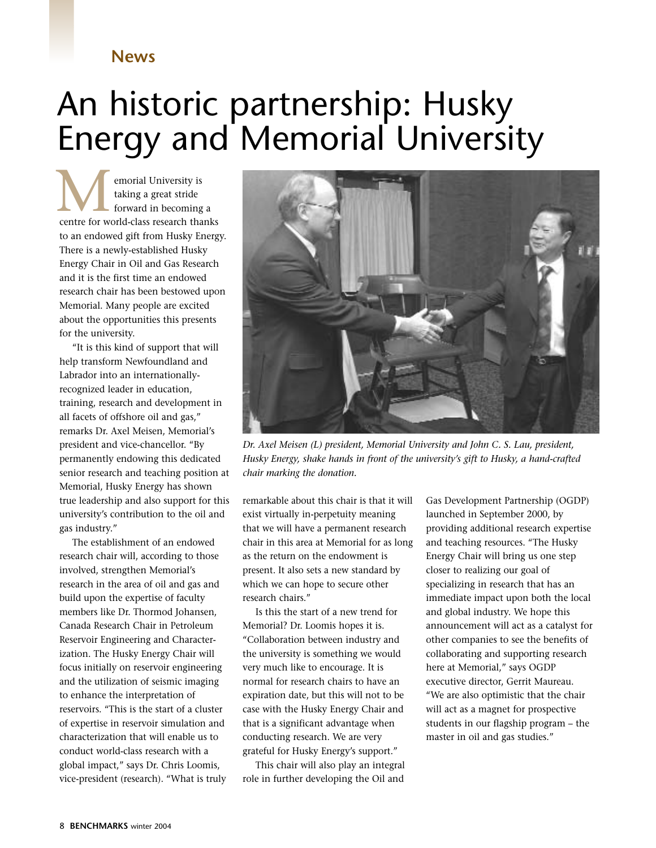# An historic partnership: Husky Energy and Memorial University

emorial University is taking a great stride forward in becoming a **c**entre for world-class research thanks to an endowed gift from Husky Energy. There is a newly-established Husky Energy Chair in Oil and Gas Research and it is the first time an endowed research chair has been bestowed upon Memorial. Many people are excited about the opportunities this presents for the university.

"It is this kind of support that will help transform Newfoundland and Labrador into an internationallyrecognized leader in education, training, research and development in all facets of offshore oil and gas," remarks Dr. Axel Meisen, Memorial's president and vice-chancellor. "By permanently endowing this dedicated senior research and teaching position at Memorial, Husky Energy has shown true leadership and also support for this university's contribution to the oil and gas industry."

The establishment of an endowed research chair will, according to those involved, strengthen Memorial's research in the area of oil and gas and build upon the expertise of faculty members like Dr. Thormod Johansen, Canada Research Chair in Petroleum Reservoir Engineering and Characterization. The Husky Energy Chair will focus initially on reservoir engineering and the utilization of seismic imaging to enhance the interpretation of reservoirs. "This is the start of a cluster of expertise in reservoir simulation and characterization that will enable us to conduct world-class research with a global impact," says Dr. Chris Loomis, vice-president (research). "What is truly



*Dr. Axel Meisen (L) president, Memorial University and John C. S. Lau, president, Husky Energy, shake hands in front of the university's gift to Husky, a hand-crafted chair marking the donation.*

remarkable about this chair is that it will exist virtually in-perpetuity meaning that we will have a permanent research chair in this area at Memorial for as long as the return on the endowment is present. It also sets a new standard by which we can hope to secure other research chairs."

Is this the start of a new trend for Memorial? Dr. Loomis hopes it is. "Collaboration between industry and the university is something we would very much like to encourage. It is normal for research chairs to have an expiration date, but this will not to be case with the Husky Energy Chair and that is a significant advantage when conducting research. We are very grateful for Husky Energy's support."

This chair will also play an integral role in further developing the Oil and

Gas Development Partnership (OGDP) launched in September 2000, by providing additional research expertise and teaching resources. "The Husky Energy Chair will bring us one step closer to realizing our goal of specializing in research that has an immediate impact upon both the local and global industry. We hope this announcement will act as a catalyst for other companies to see the benefits of collaborating and supporting research here at Memorial," says OGDP executive director, Gerrit Maureau. "We are also optimistic that the chair will act as a magnet for prospective students in our flagship program – the master in oil and gas studies."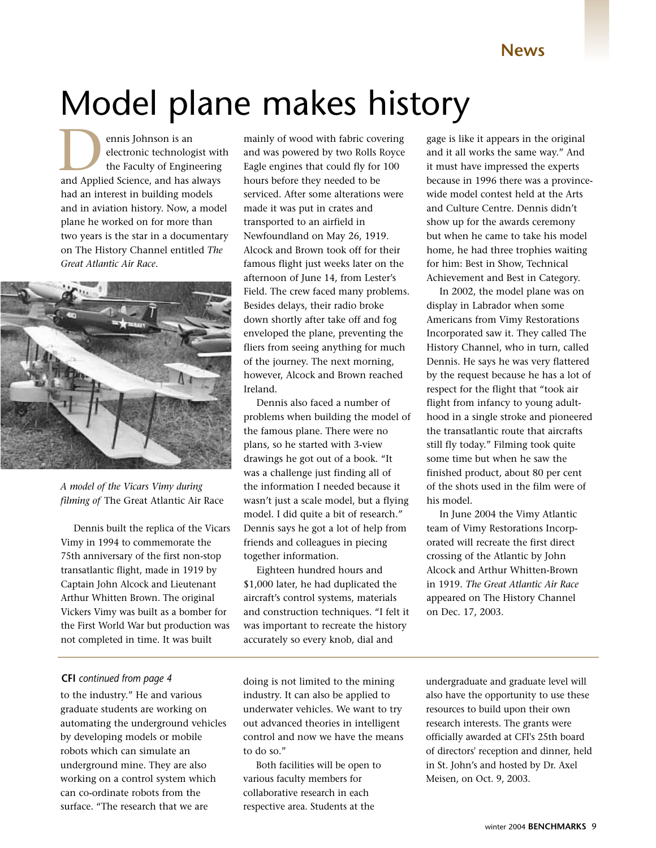# Model plane makes history

ennis Johnson is an electronic technologist with the Faculty of Engineering ennis Johnson is an<br>electronic technologist with<br>the Faculty of Engineering<br>and Applied Science, and has always had an interest in building models and in aviation history. Now, a model plane he worked on for more than two years is the star in a documentary on The History Channel entitled *The Great Atlantic Air Race*.



*A model of the Vicars Vimy during filming of* The Great Atlantic Air Race

Dennis built the replica of the Vicars Vimy in 1994 to commemorate the 75th anniversary of the first non-stop transatlantic flight, made in 1919 by Captain John Alcock and Lieutenant Arthur Whitten Brown. The original Vickers Vimy was built as a bomber for the First World War but production was not completed in time. It was built

#### **CFI** *continued from page 4*

to the industry." He and various graduate students are working on automating the underground vehicles by developing models or mobile robots which can simulate an underground mine. They are also working on a control system which can co-ordinate robots from the surface. "The research that we are

mainly of wood with fabric covering and was powered by two Rolls Royce Eagle engines that could fly for 100 hours before they needed to be serviced. After some alterations were made it was put in crates and transported to an airfield in Newfoundland on May 26, 1919. Alcock and Brown took off for their famous flight just weeks later on the afternoon of June 14, from Lester's Field. The crew faced many problems. Besides delays, their radio broke down shortly after take off and fog enveloped the plane, preventing the fliers from seeing anything for much of the journey. The next morning, however, Alcock and Brown reached Ireland.

Dennis also faced a number of problems when building the model of the famous plane. There were no plans, so he started with 3-view drawings he got out of a book. "It was a challenge just finding all of the information I needed because it wasn't just a scale model, but a flying model. I did quite a bit of research." Dennis says he got a lot of help from friends and colleagues in piecing together information.

Eighteen hundred hours and \$1,000 later, he had duplicated the aircraft's control systems, materials and construction techniques. "I felt it was important to recreate the history accurately so every knob, dial and

gage is like it appears in the original and it all works the same way." And it must have impressed the experts because in 1996 there was a provincewide model contest held at the Arts and Culture Centre. Dennis didn't show up for the awards ceremony but when he came to take his model home, he had three trophies waiting for him: Best in Show, Technical Achievement and Best in Category.

In 2002, the model plane was on display in Labrador when some Americans from Vimy Restorations Incorporated saw it. They called The History Channel, who in turn, called Dennis. He says he was very flattered by the request because he has a lot of respect for the flight that "took air flight from infancy to young adulthood in a single stroke and pioneered the transatlantic route that aircrafts still fly today." Filming took quite some time but when he saw the finished product, about 80 per cent of the shots used in the film were of his model.

In June 2004 the Vimy Atlantic team of Vimy Restorations Incorporated will recreate the first direct crossing of the Atlantic by John Alcock and Arthur Whitten-Brown in 1919. *The Great Atlantic Air Race* appeared on The History Channel on Dec. 17, 2003.

doing is not limited to the mining industry. It can also be applied to underwater vehicles. We want to try out advanced theories in intelligent control and now we have the means to do so."

Both facilities will be open to various faculty members for collaborative research in each respective area. Students at the

undergraduate and graduate level will also have the opportunity to use these resources to build upon their own research interests. The grants were officially awarded at CFI's 25th board of directors' reception and dinner, held in St. John's and hosted by Dr. Axel Meisen, on Oct. 9, 2003.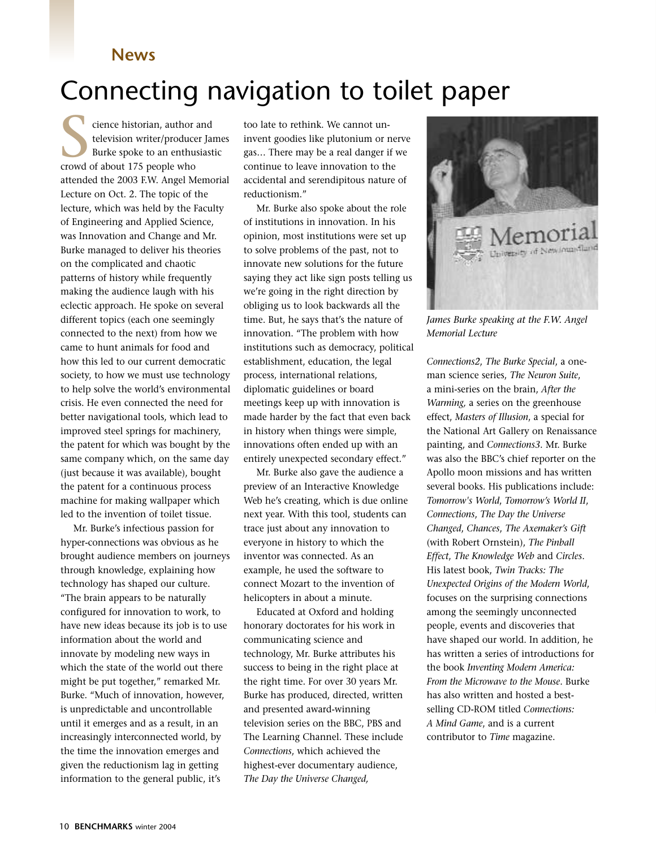## Connecting navigation to toilet paper

cience historian, author and television writer/producer James Burke spoke to an enthusiastic cience historian, author<br>television writer/produce<br>Burke spoke to an enthu<br>crowd of about 175 people who attended the 2003 F.W. Angel Memorial Lecture on Oct. 2. The topic of the lecture, which was held by the Faculty of Engineering and Applied Science, was Innovation and Change and Mr. Burke managed to deliver his theories on the complicated and chaotic patterns of history while frequently making the audience laugh with his eclectic approach. He spoke on several different topics (each one seemingly connected to the next) from how we came to hunt animals for food and how this led to our current democratic society, to how we must use technology to help solve the world's environmental crisis. He even connected the need for better navigational tools, which lead to improved steel springs for machinery, the patent for which was bought by the same company which, on the same day (just because it was available), bought the patent for a continuous process machine for making wallpaper which led to the invention of toilet tissue.

Mr. Burke's infectious passion for hyper-connections was obvious as he brought audience members on journeys through knowledge, explaining how technology has shaped our culture. "The brain appears to be naturally configured for innovation to work, to have new ideas because its job is to use information about the world and innovate by modeling new ways in which the state of the world out there might be put together," remarked Mr. Burke. "Much of innovation, however, is unpredictable and uncontrollable until it emerges and as a result, in an increasingly interconnected world, by the time the innovation emerges and given the reductionism lag in getting information to the general public, it's

too late to rethink. We cannot uninvent goodies like plutonium or nerve gas… There may be a real danger if we continue to leave innovation to the accidental and serendipitous nature of reductionism."

Mr. Burke also spoke about the role of institutions in innovation. In his opinion, most institutions were set up to solve problems of the past, not to innovate new solutions for the future saying they act like sign posts telling us we're going in the right direction by obliging us to look backwards all the time. But, he says that's the nature of innovation. "The problem with how institutions such as democracy, political establishment, education, the legal process, international relations, diplomatic guidelines or board meetings keep up with innovation is made harder by the fact that even back in history when things were simple, innovations often ended up with an entirely unexpected secondary effect."

Mr. Burke also gave the audience a preview of an Interactive Knowledge Web he's creating, which is due online next year. With this tool, students can trace just about any innovation to everyone in history to which the inventor was connected. As an example, he used the software to connect Mozart to the invention of helicopters in about a minute.

Educated at Oxford and holding honorary doctorates for his work in communicating science and technology, Mr. Burke attributes his success to being in the right place at the right time. For over 30 years Mr. Burke has produced, directed, written and presented award-winning television series on the BBC, PBS and The Learning Channel. These include *Connections*, which achieved the highest-ever documentary audience, *The Day the Universe Changed,*



*James Burke speaking at the F.W. Angel Memorial Lecture*

*Connections2*, *The Burke Special*, a oneman science series, *The Neuron Suite*, a mini-series on the brain, *After the Warming,* a series on the greenhouse effect, *Masters of Illusion*, a special for the National Art Gallery on Renaissance painting, and *Connections3*. Mr. Burke was also the BBC's chief reporter on the Apollo moon missions and has written several books. His publications include: *Tomorrow's World*, *Tomorrow's World II*, *Connections*, *The Day the Universe Changed*, *Chances*, *The Axemaker's Gift* (with Robert Ornstein), *The Pinball Effect*, *The Knowledge Web* and *Circles*. His latest book, *Twin Tracks: The Unexpected Origins of the Modern World*, focuses on the surprising connections among the seemingly unconnected people, events and discoveries that have shaped our world. In addition, he has written a series of introductions for the book *Inventing Modern America: From the Microwave to the Mouse*. Burke has also written and hosted a bestselling CD-ROM titled *Connections: A Mind Game*, and is a current contributor to *Time* magazine.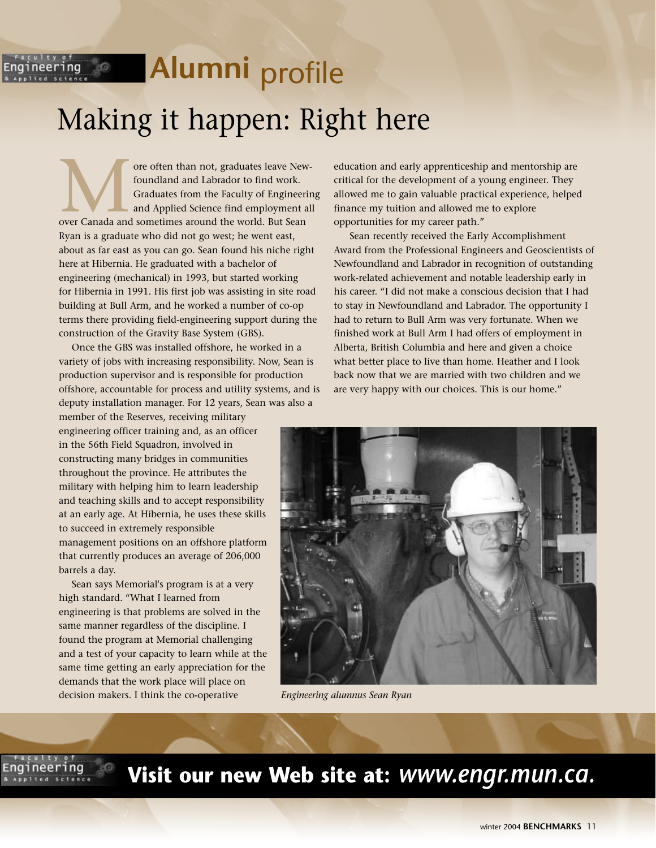# *intering* **Alumni** profile Making it happen: Right here

ore often than not, graduates leave Newfoundland and Labrador to find work. Graduates from the Faculty of Engineering and Applied Science find employment all ore often than not, graduates leave New foundland and Labrador to find work.<br>Graduates from the Faculty of Engineer<br>and Applied Science find employment a<br>over Canada and sometimes around the world. But Sean Ryan is a graduate who did not go west; he went east, about as far east as you can go. Sean found his niche right here at Hibernia. He graduated with a bachelor of engineering (mechanical) in 1993, but started working for Hibernia in 1991. His first job was assisting in site road building at Bull Arm, and he worked a number of co-op terms there providing field-engineering support during the construction of the Gravity Base System (GBS).

Once the GBS was installed offshore, he worked in a variety of jobs with increasing responsibility. Now, Sean is production supervisor and is responsible for production offshore, accountable for process and utility systems, and is deputy installation manager. For 12 years, Sean was also a

member of the Reserves, receiving military engineering officer training and, as an officer in the 56th Field Squadron, involved in constructing many bridges in communities throughout the province. He attributes the military with helping him to learn leadership and teaching skills and to accept responsibility at an early age. At Hibernia, he uses these skills to succeed in extremely responsible management positions on an offshore platform that currently produces an average of 206,000 barrels a day.

Sean says Memorial's program is at a very high standard. "What I learned from engineering is that problems are solved in the same manner regardless of the discipline. I found the program at Memorial challenging and a test of your capacity to learn while at the same time getting an early appreciation for the demands that the work place will place on decision makers. I think the co-operative

education and early apprenticeship and mentorship are critical for the development of a young engineer. They allowed me to gain valuable practical experience, helped finance my tuition and allowed me to explore opportunities for my career path."

Sean recently received the Early Accomplishment Award from the Professional Engineers and Geoscientists of Newfoundland and Labrador in recognition of outstanding work-related achievement and notable leadership early in his career. "I did not make a conscious decision that I had to stay in Newfoundland and Labrador. The opportunity I had to return to Bull Arm was very fortunate. When we finished work at Bull Arm I had offers of employment in Alberta, British Columbia and here and given a choice what better place to live than home. Heather and I look back now that we are married with two children and we are very happy with our choices. This is our home."



*Engineering alumnus Sean Ryan*

### **Visit our new Web site at:** *www.engr.mun.ca.*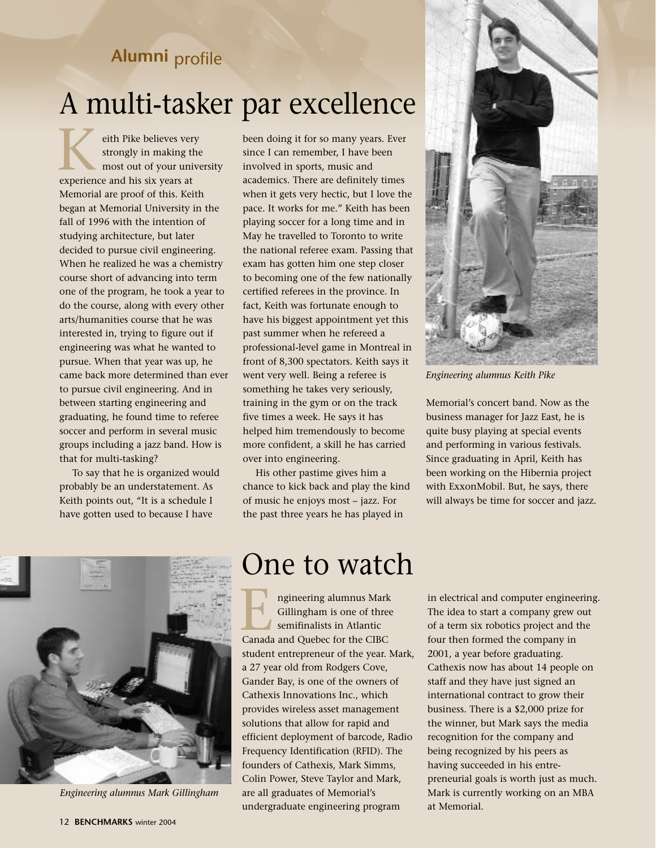### **Alumni** profile

## A multi-tasker par excellence

eith Pike believes very strongly in making the most out of your university eith Pike believes ver<br>
strongly in making t<br>
most out of your uni<br>
experience and his six years at Memorial are proof of this. Keith began at Memorial University in the fall of 1996 with the intention of studying architecture, but later decided to pursue civil engineering. When he realized he was a chemistry course short of advancing into term one of the program, he took a year to do the course, along with every other arts/humanities course that he was interested in, trying to figure out if engineering was what he wanted to pursue. When that year was up, he came back more determined than ever to pursue civil engineering. And in between starting engineering and graduating, he found time to referee soccer and perform in several music groups including a jazz band. How is that for multi-tasking?

To say that he is organized would probably be an understatement. As Keith points out, "It is a schedule I have gotten used to because I have

been doing it for so many years. Ever since I can remember, I have been involved in sports, music and academics. There are definitely times when it gets very hectic, but I love the pace. It works for me." Keith has been playing soccer for a long time and in May he travelled to Toronto to write the national referee exam. Passing that exam has gotten him one step closer to becoming one of the few nationally certified referees in the province. In fact, Keith was fortunate enough to have his biggest appointment yet this past summer when he refereed a professional-level game in Montreal in front of 8,300 spectators. Keith says it went very well. Being a referee is something he takes very seriously, training in the gym or on the track five times a week. He says it has helped him tremendously to become more confident, a skill he has carried over into engineering.

His other pastime gives him a chance to kick back and play the kind of music he enjoys most – jazz. For the past three years he has played in



*Engineering alumnus Keith Pike*

Memorial's concert band. Now as the business manager for Jazz East, he is quite busy playing at special events and performing in various festivals. Since graduating in April, Keith has been working on the Hibernia project with ExxonMobil. But, he says, there will always be time for soccer and jazz.



*Engineering alumnus Mark Gillingham*

## One to watch

ngineering alumnus Mark Gillingham is one of three semifinalists in Atlantic ngineering alumnus Mark<br>Gillingham is one of three<br>Semifinalists in Atlantic<br>Canada and Quebec for the CIBC student entrepreneur of the year. Mark, a 27 year old from Rodgers Cove, Gander Bay, is one of the owners of Cathexis Innovations Inc., which provides wireless asset management solutions that allow for rapid and efficient deployment of barcode, Radio Frequency Identification (RFID). The founders of Cathexis, Mark Simms, Colin Power, Steve Taylor and Mark, are all graduates of Memorial's undergraduate engineering program

in electrical and computer engineering. The idea to start a company grew out of a term six robotics project and the four then formed the company in 2001, a year before graduating. Cathexis now has about 14 people on staff and they have just signed an international contract to grow their business. There is a \$2,000 prize for the winner, but Mark says the media recognition for the company and being recognized by his peers as having succeeded in his entrepreneurial goals is worth just as much. Mark is currently working on an MBA at Memorial.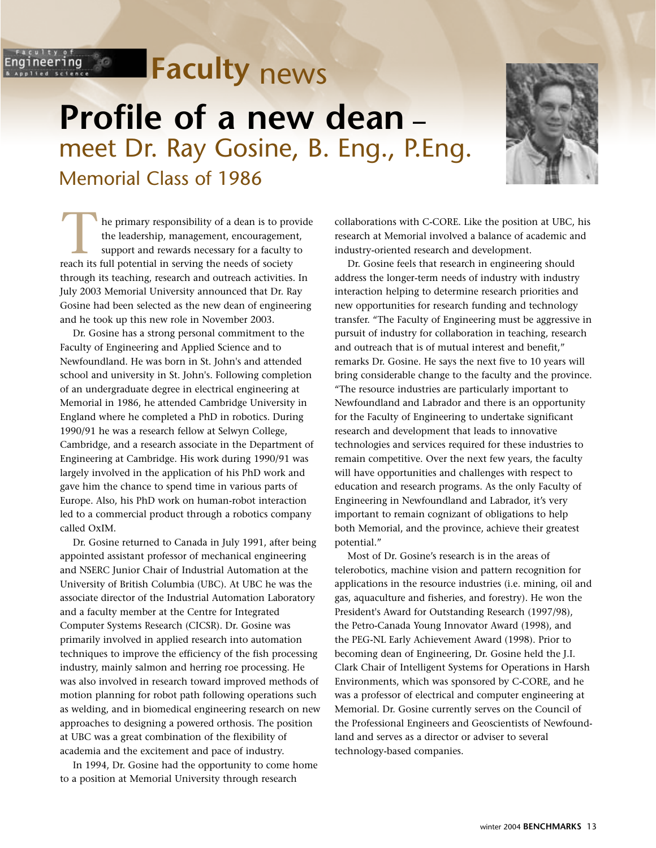# **Faculty** news

**Profile of a new dean –** meet Dr. Ray Gosine, B. Eng., P.Eng. Memorial Class of 1986



he primary responsibility of a dean is to provide the leadership, management, encouragement, support and rewards necessary for a faculty to The primary responsibility of a dean is to provide the leadership, management, encouragement support and rewards necessary for a faculty reach its full potential in serving the needs of society through its teaching, research and outreach activities. In July 2003 Memorial University announced that Dr. Ray Gosine had been selected as the new dean of engineering and he took up this new role in November 2003.

್ಯೆಂ

ineering

Dr. Gosine has a strong personal commitment to the Faculty of Engineering and Applied Science and to Newfoundland. He was born in St. John's and attended school and university in St. John's. Following completion of an undergraduate degree in electrical engineering at Memorial in 1986, he attended Cambridge University in England where he completed a PhD in robotics. During 1990/91 he was a research fellow at Selwyn College, Cambridge, and a research associate in the Department of Engineering at Cambridge. His work during 1990/91 was largely involved in the application of his PhD work and gave him the chance to spend time in various parts of Europe. Also, his PhD work on human-robot interaction led to a commercial product through a robotics company called OxIM.

Dr. Gosine returned to Canada in July 1991, after being appointed assistant professor of mechanical engineering and NSERC Junior Chair of Industrial Automation at the University of British Columbia (UBC). At UBC he was the associate director of the Industrial Automation Laboratory and a faculty member at the Centre for Integrated Computer Systems Research (CICSR). Dr. Gosine was primarily involved in applied research into automation techniques to improve the efficiency of the fish processing industry, mainly salmon and herring roe processing. He was also involved in research toward improved methods of motion planning for robot path following operations such as welding, and in biomedical engineering research on new approaches to designing a powered orthosis. The position at UBC was a great combination of the flexibility of academia and the excitement and pace of industry.

In 1994, Dr. Gosine had the opportunity to come home to a position at Memorial University through research

collaborations with C-CORE. Like the position at UBC, his research at Memorial involved a balance of academic and industry-oriented research and development.

Dr. Gosine feels that research in engineering should address the longer-term needs of industry with industry interaction helping to determine research priorities and new opportunities for research funding and technology transfer. "The Faculty of Engineering must be aggressive in pursuit of industry for collaboration in teaching, research and outreach that is of mutual interest and benefit," remarks Dr. Gosine. He says the next five to 10 years will bring considerable change to the faculty and the province. "The resource industries are particularly important to Newfoundland and Labrador and there is an opportunity for the Faculty of Engineering to undertake significant research and development that leads to innovative technologies and services required for these industries to remain competitive. Over the next few years, the faculty will have opportunities and challenges with respect to education and research programs. As the only Faculty of Engineering in Newfoundland and Labrador, it's very important to remain cognizant of obligations to help both Memorial, and the province, achieve their greatest potential."

Most of Dr. Gosine's research is in the areas of telerobotics, machine vision and pattern recognition for applications in the resource industries (i.e. mining, oil and gas, aquaculture and fisheries, and forestry). He won the President's Award for Outstanding Research (1997/98), the Petro-Canada Young Innovator Award (1998), and the PEG-NL Early Achievement Award (1998). Prior to becoming dean of Engineering, Dr. Gosine held the J.I. Clark Chair of Intelligent Systems for Operations in Harsh Environments, which was sponsored by C-CORE, and he was a professor of electrical and computer engineering at Memorial. Dr. Gosine currently serves on the Council of the Professional Engineers and Geoscientists of Newfoundland and serves as a director or adviser to several technology-based companies.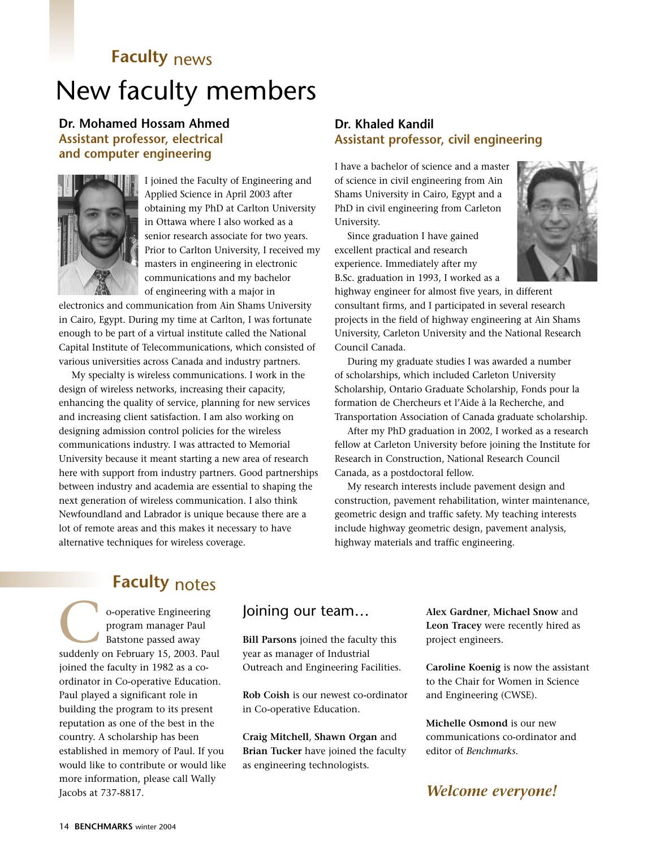## **Faculty** news New faculty members

#### **Dr. Mohamed Hossam Ahmed Assistant professor, electrical and computer engineering**



I joined the Faculty of Engineering and Applied Science in April 2003 after obtaining my PhD at Carlton University in Ottawa where I also worked as a senior research associate for two years. Prior to Carlton University, I received my masters in engineering in electronic communications and my bachelor of engineering with a major in

electronics and communication from Ain Shams University in Cairo, Egypt. During my time at Carlton, I was fortunate enough to be part of a virtual institute called the National Capital Institute of Telecommunications, which consisted of various universities across Canada and industry partners.

My specialty is wireless communications. I work in the design of wireless networks, increasing their capacity, enhancing the quality of service, planning for new services and increasing client satisfaction. I am also working on designing admission control policies for the wireless communications industry. I was attracted to Memorial University because it meant starting a new area of research here with support from industry partners. Good partnerships between industry and academia are essential to shaping the next generation of wireless communication. I also think Newfoundland and Labrador is unique because there are a lot of remote areas and this makes it necessary to have alternative techniques for wireless coverage.

#### **Dr. Khaled Kandil Assistant professor, civil engineering**

I have a bachelor of science and a master of science in civil engineering from Ain Shams University in Cairo, Egypt and a PhD in civil engineering from Carleton University.

Since graduation I have gained excellent practical and research experience. Immediately after my B.Sc. graduation in 1993, I worked as a



highway engineer for almost five years, in different consultant firms, and I participated in several research projects in the field of highway engineering at Ain Shams University, Carleton University and the National Research Council Canada.

During my graduate studies I was awarded a number of scholarships, which included Carleton University Scholarship, Ontario Graduate Scholarship, Fonds pour la formation de Chercheurs et l'Aide à la Recherche, and Transportation Association of Canada graduate scholarship.

After my PhD graduation in 2002, I worked as a research fellow at Carleton University before joining the Institute for Research in Construction, National Research Council Canada, as a postdoctoral fellow.

My research interests include pavement design and construction, pavement rehabilitation, winter maintenance, geometric design and traffic safety. My teaching interests include highway geometric design, pavement analysis, highway materials and traffic engineering.

### **Faculty** notes

o-operative Engineering program manager Paul Batstone passed away o-operative Engineering<br>
program manager Paul<br>
Batstone passed away<br>
suddenly on February 15, 2003. Paul joined the faculty in 1982 as a coordinator in Co-operative Education. Paul played a significant role in building the program to its present reputation as one of the best in the country. A scholarship has been established in memory of Paul. If you would like to contribute or would like more information, please call Wally Jacobs at 737-8817.

#### Joining our team…

**Bill Parsons** joined the faculty this year as manager of Industrial Outreach and Engineering Facilities.

**Rob Coish** is our newest co-ordinator in Co-operative Education.

**Craig Mitchell**, **Shawn Organ** and **Brian Tucker** have joined the faculty as engineering technologists.

**Alex Gardner**, **Michael Snow** and **Leon Tracey** were recently hired as project engineers.

**Caroline Koenig** is now the assistant to the Chair for Women in Science and Engineering (CWSE).

**Michelle Osmond** is our new communications co-ordinator and editor of *Benchmarks*.

#### *Welcome everyone!*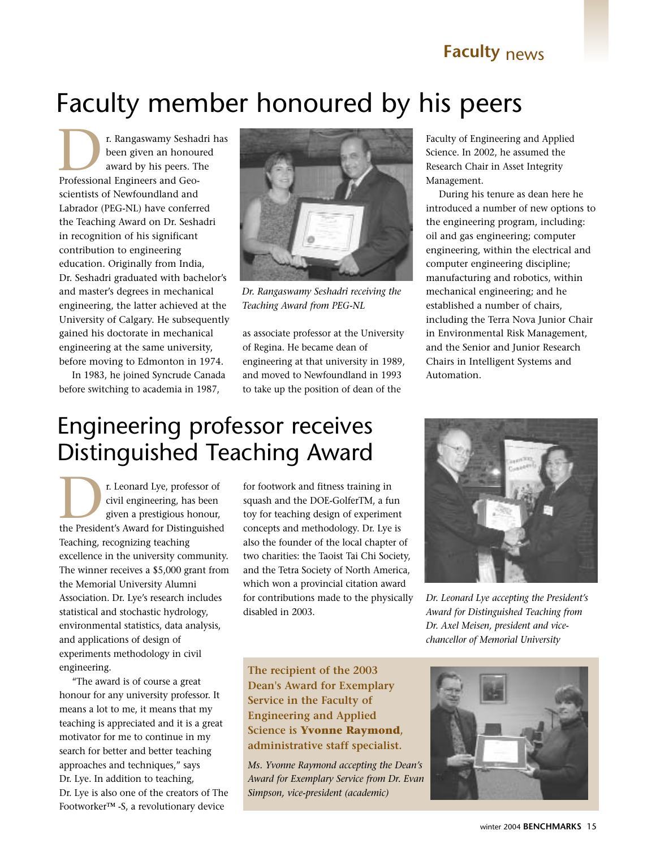#### **Faculty** news

## Faculty member honoured by his peers

r. Rangaswamy Seshadri has been given an honoured award by his peers. The **Professional Engineers and Geo-**<br>Professional Engineers and Geoscientists of Newfoundland and Labrador (PEG-NL) have conferred the Teaching Award on Dr. Seshadri in recognition of his significant contribution to engineering education. Originally from India, Dr. Seshadri graduated with bachelor's and master's degrees in mechanical engineering, the latter achieved at the University of Calgary. He subsequently gained his doctorate in mechanical engineering at the same university, before moving to Edmonton in 1974.

In 1983, he joined Syncrude Canada before switching to academia in 1987,



*Dr. Rangaswamy Seshadri receiving the Teaching Award from PEG-NL*

as associate professor at the University of Regina. He became dean of engineering at that university in 1989, and moved to Newfoundland in 1993 to take up the position of dean of the

Faculty of Engineering and Applied Science. In 2002, he assumed the Research Chair in Asset Integrity Management.

During his tenure as dean here he introduced a number of new options to the engineering program, including: oil and gas engineering; computer engineering, within the electrical and computer engineering discipline; manufacturing and robotics, within mechanical engineering; and he established a number of chairs, including the Terra Nova Junior Chair in Environmental Risk Management, and the Senior and Junior Research Chairs in Intelligent Systems and Automation.

## Engineering professor receives Distinguished Teaching Award

r. Leonard Lye, professor of civil engineering, has been given a prestigious honour, The President's Award for Distinguished (1999) and Distinguished (1999) and Distinguished (1999) and Distinguished (1999) and Distinguished (1999) and Distinguished (1999) and Distinguished (1999) and Distinguished (1999) Teaching, recognizing teaching excellence in the university community. The winner receives a \$5,000 grant from the Memorial University Alumni Association. Dr. Lye's research includes statistical and stochastic hydrology, environmental statistics, data analysis, and applications of design of experiments methodology in civil engineering.

"The award is of course a great honour for any university professor. It means a lot to me, it means that my teaching is appreciated and it is a great motivator for me to continue in my search for better and better teaching approaches and techniques," says Dr. Lye. In addition to teaching, Dr. Lye is also one of the creators of The Footworker™ -S, a revolutionary device

for footwork and fitness training in squash and the DOE-GolferTM, a fun toy for teaching design of experiment concepts and methodology. Dr. Lye is also the founder of the local chapter of two charities: the Taoist Tai Chi Society, and the Tetra Society of North America, which won a provincial citation award for contributions made to the physically disabled in 2003.

**The recipient of the 2003 Dean's Award for Exemplary Service in the Faculty of Engineering and Applied Science is Yvonne Raymond, administrative staff specialist.**

*Ms. Yvonne Raymond accepting the Dean's Award for Exemplary Service from Dr. Evan Simpson, vice-president (academic)*



*Dr. Leonard Lye accepting the President's Award for Distinguished Teaching from Dr. Axel Meisen, president and vicechancellor of Memorial University*

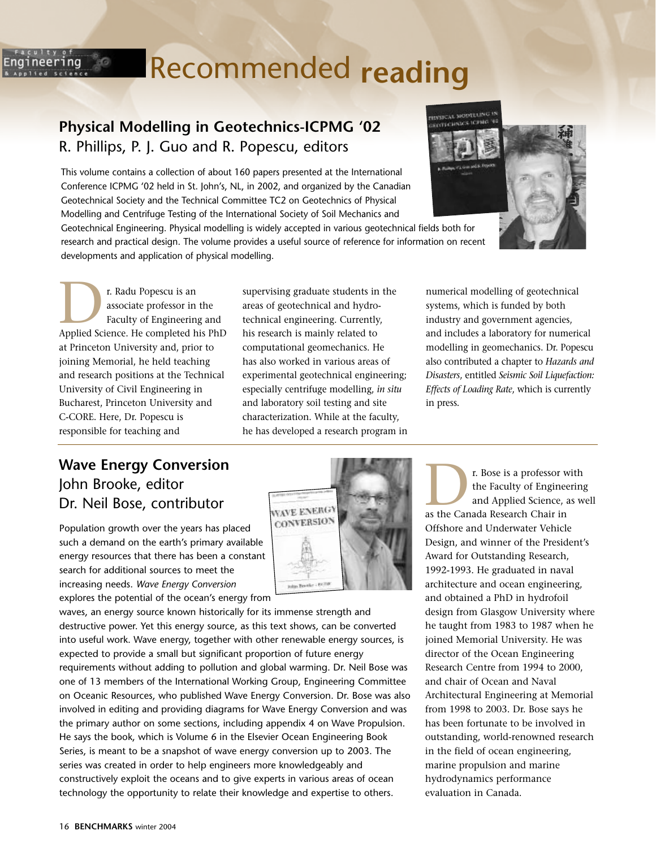# Recommended **reading**

#### **Physical Modelling in Geotechnics-ICPMG '02** R. Phillips, P. J. Guo and R. Popescu, editors

This volume contains a collection of about 160 papers presented at the International Conference ICPMG '02 held in St. John's, NL, in 2002, and organized by the Canadian Geotechnical Society and the Technical Committee TC2 on Geotechnics of Physical Modelling and Centrifuge Testing of the International Society of Soil Mechanics and

Geotechnical Engineering. Physical modelling is widely accepted in various geotechnical fields both for research and practical design. The volume provides a useful source of reference for information on recent developments and application of physical modelling.

r. Radu Popescu is an associate professor in the Faculty of Engineering and **Philadel Professor in the Faculty of Engineering and Applied Science. He completed his PhD** at Princeton University and, prior to joining Memorial, he held teaching and research positions at the Technical University of Civil Engineering in Bucharest, Princeton University and C-CORE. Here, Dr. Popescu is responsible for teaching and

30

ineering

supervising graduate students in the areas of geotechnical and hydrotechnical engineering. Currently, his research is mainly related to computational geomechanics. He has also worked in various areas of experimental geotechnical engineering; especially centrifuge modelling, *in situ* and laboratory soil testing and site characterization. While at the faculty, he has developed a research program in numerical modelling of geotechnical systems, which is funded by both industry and government agencies, and includes a laboratory for numerical modelling in geomechanics. Dr. Popescu also contributed a chapter to *Hazards and Disasters*, entitled *Seismic Soil Liquefaction: Effects of Loading Rate*, which is currently in press.

#### **Wave Energy Conversion** John Brooke, editor Dr. Neil Bose, contributor

Population growth over the years has placed such a demand on the earth's primary available energy resources that there has been a constant search for additional sources to meet the increasing needs. *Wave Energy Conversion* explores the potential of the ocean's energy from

waves, an energy source known historically for its immense strength and destructive power. Yet this energy source, as this text shows, can be converted into useful work. Wave energy, together with other renewable energy sources, is expected to provide a small but significant proportion of future energy requirements without adding to pollution and global warming. Dr. Neil Bose was one of 13 members of the International Working Group, Engineering Committee on Oceanic Resources, who published Wave Energy Conversion. Dr. Bose was also involved in editing and providing diagrams for Wave Energy Conversion and was the primary author on some sections, including appendix 4 on Wave Propulsion. He says the book, which is Volume 6 in the Elsevier Ocean Engineering Book Series, is meant to be a snapshot of wave energy conversion up to 2003. The series was created in order to help engineers more knowledgeably and constructively exploit the oceans and to give experts in various areas of ocean technology the opportunity to relate their knowledge and expertise to others.

r. Bose is a professor with the Faculty of Engineering and Applied Science, as well **Example 18 Separate State Canada Research Chair in**<br>
and Applied Science,<br>
as the Canada Research Chair in Offshore and Underwater Vehicle Design, and winner of the President's Award for Outstanding Research, 1992-1993. He graduated in naval architecture and ocean engineering, and obtained a PhD in hydrofoil design from Glasgow University where he taught from 1983 to 1987 when he joined Memorial University. He was director of the Ocean Engineering Research Centre from 1994 to 2000, and chair of Ocean and Naval Architectural Engineering at Memorial from 1998 to 2003. Dr. Bose says he has been fortunate to be involved in outstanding, world-renowned research in the field of ocean engineering, marine propulsion and marine hydrodynamics performance evaluation in Canada.



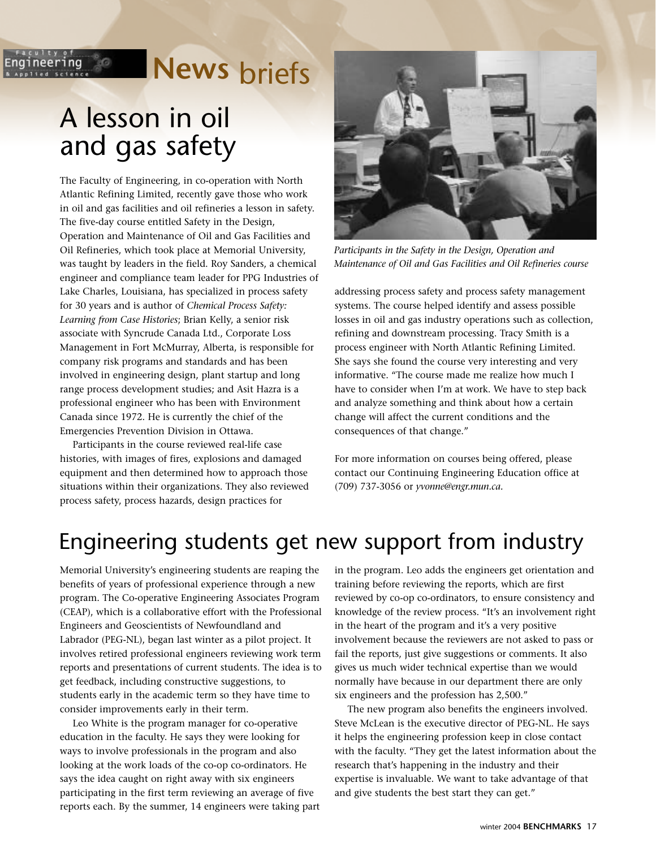# **News** briefs

## A lesson in oil and gas safety

 $-80$ 

ineering

The Faculty of Engineering, in co-operation with North Atlantic Refining Limited, recently gave those who work in oil and gas facilities and oil refineries a lesson in safety. The five-day course entitled Safety in the Design, Operation and Maintenance of Oil and Gas Facilities and Oil Refineries, which took place at Memorial University, was taught by leaders in the field. Roy Sanders, a chemical engineer and compliance team leader for PPG Industries of Lake Charles, Louisiana, has specialized in process safety for 30 years and is author of *Chemical Process Safety: Learning from Case Histories*; Brian Kelly, a senior risk associate with Syncrude Canada Ltd., Corporate Loss Management in Fort McMurray, Alberta, is responsible for company risk programs and standards and has been involved in engineering design, plant startup and long range process development studies; and Asit Hazra is a professional engineer who has been with Environment Canada since 1972. He is currently the chief of the Emergencies Prevention Division in Ottawa.

Participants in the course reviewed real-life case histories, with images of fires, explosions and damaged equipment and then determined how to approach those situations within their organizations. They also reviewed process safety, process hazards, design practices for



*Participants in the Safety in the Design, Operation and Maintenance of Oil and Gas Facilities and Oil Refineries course*

addressing process safety and process safety management systems. The course helped identify and assess possible losses in oil and gas industry operations such as collection, refining and downstream processing. Tracy Smith is a process engineer with North Atlantic Refining Limited. She says she found the course very interesting and very informative. "The course made me realize how much I have to consider when I'm at work. We have to step back and analyze something and think about how a certain change will affect the current conditions and the consequences of that change."

For more information on courses being offered, please contact our Continuing Engineering Education office at (709) 737-3056 or *yvonne@engr.mun.ca.*

### Engineering students get new support from industry

Memorial University's engineering students are reaping the benefits of years of professional experience through a new program. The Co-operative Engineering Associates Program (CEAP), which is a collaborative effort with the Professional Engineers and Geoscientists of Newfoundland and Labrador (PEG-NL), began last winter as a pilot project. It involves retired professional engineers reviewing work term reports and presentations of current students. The idea is to get feedback, including constructive suggestions, to students early in the academic term so they have time to consider improvements early in their term.

Leo White is the program manager for co-operative education in the faculty. He says they were looking for ways to involve professionals in the program and also looking at the work loads of the co-op co-ordinators. He says the idea caught on right away with six engineers participating in the first term reviewing an average of five reports each. By the summer, 14 engineers were taking part in the program. Leo adds the engineers get orientation and training before reviewing the reports, which are first reviewed by co-op co-ordinators, to ensure consistency and knowledge of the review process. "It's an involvement right in the heart of the program and it's a very positive involvement because the reviewers are not asked to pass or fail the reports, just give suggestions or comments. It also gives us much wider technical expertise than we would normally have because in our department there are only six engineers and the profession has 2,500."

The new program also benefits the engineers involved. Steve McLean is the executive director of PEG-NL. He says it helps the engineering profession keep in close contact with the faculty. "They get the latest information about the research that's happening in the industry and their expertise is invaluable. We want to take advantage of that and give students the best start they can get."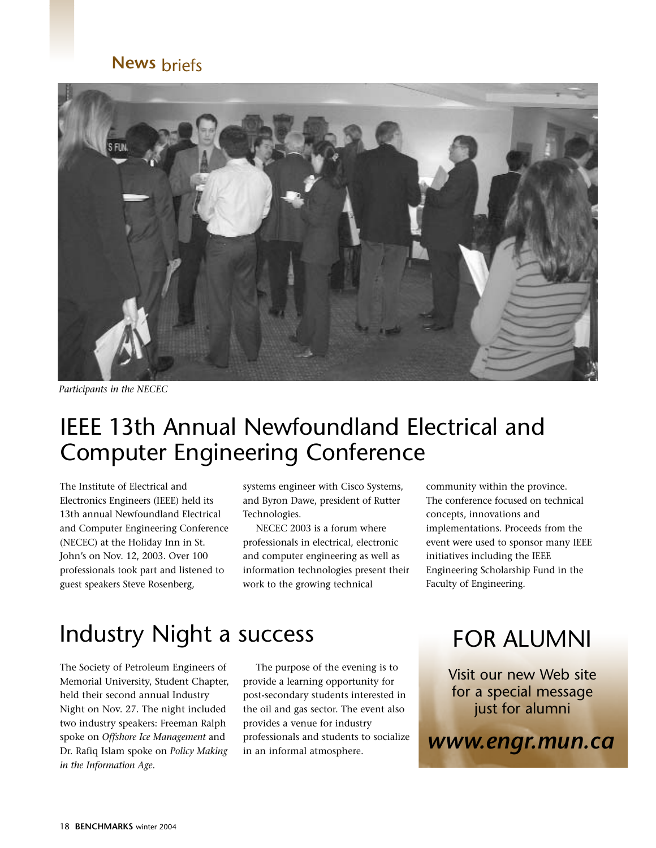#### **News** briefs



*Participants in the NECEC*

### IEEE 13th Annual Newfoundland Electrical and Computer Engineering Conference

The Institute of Electrical and Electronics Engineers (IEEE) held its 13th annual Newfoundland Electrical and Computer Engineering Conference (NECEC) at the Holiday Inn in St. John's on Nov. 12, 2003. Over 100 professionals took part and listened to guest speakers Steve Rosenberg,

systems engineer with Cisco Systems, and Byron Dawe, president of Rutter Technologies.

NECEC 2003 is a forum where professionals in electrical, electronic and computer engineering as well as information technologies present their work to the growing technical

community within the province. The conference focused on technical concepts, innovations and implementations. Proceeds from the event were used to sponsor many IEEE initiatives including the IEEE Engineering Scholarship Fund in the Faculty of Engineering.

### Industry Night a success

The Society of Petroleum Engineers of Memorial University, Student Chapter, held their second annual Industry Night on Nov. 27. The night included two industry speakers: Freeman Ralph spoke on *Offshore Ice Management* and Dr. Rafiq Islam spoke on *Policy Making in the Information Age*.

The purpose of the evening is to provide a learning opportunity for post-secondary students interested in the oil and gas sector. The event also provides a venue for industry professionals and students to socialize in an informal atmosphere.

## FOR ALUMNI

Visit our new Web site for a special message just for alumni

*www.engr.mun.ca*